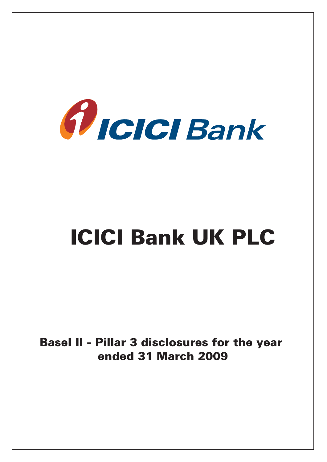

# ICICI Bank UK PLC

BaseI II - Pillar 3 disclosures for the year ended 31 March 2009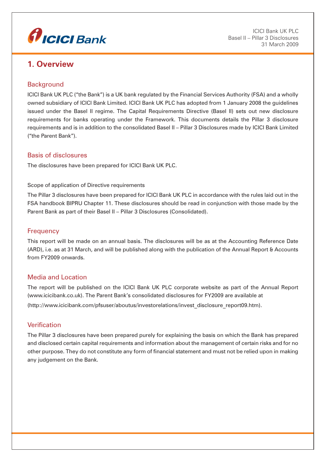

# **1. Overview**

# **Background**

ICICI Bank UK PLC ("the Bank") is a UK bank regulated by the Financial Services Authority (FSA) and a wholly owned subsidiary of ICICI Bank Limited. ICICI Bank UK PLC has adopted from 1 January 2008 the guidelines issued under the Basel II regime. The Capital Requirements Directive (Basel II) sets out new disclosure requirements for banks operating under the Framework. This documents details the Pillar 3 disclosure requirements and is in addition to the consolidated Basel II – Pillar 3 Disclosures made by ICICI Bank Limited ("the Parent Bank").

# Basis of disclosures

The disclosures have been prepared for ICICI Bank UK PLC.

#### Scope of application of Directive requirements

The Pillar 3 disclosures have been prepared for ICICI Bank UK PLC in accordance with the rules laid out in the FSA handbook BIPRU Chapter 11. These disclosures should be read in conjunction with those made by the Parent Bank as part of their Basel II – Pillar 3 Disclosures (Consolidated).

#### **Frequency**

This report will be made on an annual basis. The disclosures will be as at the Accounting Reference Date (ARD), i.e. as at 31 March, and will be published along with the publication of the Annual Report & Accounts from FY2009 onwards.

#### Media and Location

The report will be published on the ICICI Bank UK PLC corporate website as part of the Annual Report (www.icicibank.co.uk). The Parent Bank's consolidated disclosures for FY2009 are available at (http://www.icicibank.com/pfsuser/aboutus/investorelations/invest\_disclosure\_report09.htm).

# Verification

The Pillar 3 disclosures have been prepared purely for explaining the basis on which the Bank has prepared and disclosed certain capital requirements and information about the management of certain risks and for no other purpose. They do not constitute any form of financial statement and must not be relied upon in making any judgement on the Bank.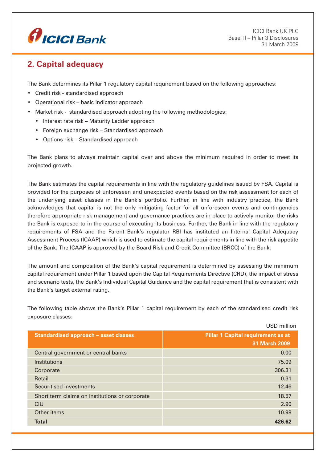

# **2. Capital adequacy**

The Bank determines its Pillar 1 regulatory capital requirement based on the following approaches:

- Credit risk standardised approach
- Operational risk basic indicator approach
- Market risk standardised approach adopting the following methodologies:
	- Interest rate risk Maturity Ladder approach
	- Foreign exchange risk Standardised approach
	- Options risk Standardised approach

The Bank plans to always maintain capital over and above the minimum required in order to meet its projected growth.

The Bank estimates the capital requirements in line with the regulatory guidelines issued by FSA. Capital is provided for the purposes of unforeseen and unexpected events based on the risk assessment for each of the underlying asset classes in the Bank's portfolio. Further, in line with industry practice, the Bank acknowledges that capital is not the only mitigating factor for all unforeseen events and contingencies therefore appropriate risk management and governance practices are in place to actively monitor the risks the Bank is exposed to in the course of executing its business. Further, the Bank in line with the regulatory requirements of FSA and the Parent Bank's regulator RBI has instituted an Internal Capital Adequacy Assessment Process (ICAAP) which is used to estimate the capital requirements in line with the risk appetite of the Bank. The ICAAP is approved by the Board Risk and Credit Committee (BRCC) of the Bank.

The amount and composition of the Bank's capital requirement is determined by assessing the minimum capital requirement under Pillar 1 based upon the Capital Requirements Directive (CRD), the impact of stress and scenario tests, the Bank's Individual Capital Guidance and the capital requirement that is consistent with the Bank's target external rating.

The following table shows the Bank's Pillar 1 capital requirement by each of the standardised credit risk exposure classes:

|                                                | USD million                               |
|------------------------------------------------|-------------------------------------------|
| <b>Standardised approach - asset classes</b>   | <b>Pillar 1 Capital requirement as at</b> |
|                                                | 31 March 2009                             |
| Central government or central banks            | 0.00                                      |
| Institutions                                   | 75.09                                     |
| Corporate                                      | 306.31                                    |
| Retail                                         | 0.31                                      |
| Securitised investments                        | 12.46                                     |
| Short term claims on institutions or corporate | 18.57                                     |
| CIU                                            | 2.90                                      |
| Other items                                    | 10.98                                     |
| <b>Total</b>                                   | 426.62                                    |
|                                                |                                           |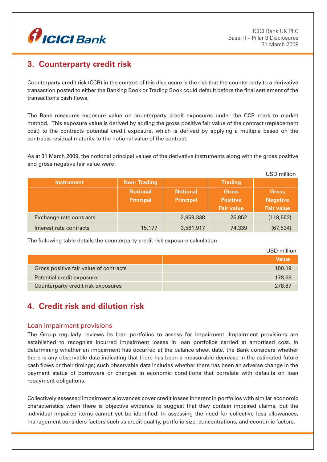

# **3. Counterparty credit risk**

Counterparty credit risk (CCR) in the context of this disclosure is the risk that the counterparty to a derivative transaction posted to either the Banking Book or Trading Book could default before the final settlement of the transaction's cash flows.

The Bank measures exposure value on counterparty credit exposures under the CCR mark to market method. This exposure value is derived by adding the gross positive fair value of the contract (replacement cost) to the contracts potential credit exposure, which is derived by applying a multiple based on the contracts residual maturity to the notional value of the contract.

As at 31 March 2009, the notional principal values of the derivative instruments along with the gross positive and gross negative fair value were:

|                         |                    |                  |                   | USD million       |
|-------------------------|--------------------|------------------|-------------------|-------------------|
| <b>Instrument</b>       | <b>Non-Trading</b> |                  | <b>Trading</b>    |                   |
|                         | <b>Notional</b>    | <b>Notional</b>  | <b>Gross</b>      | <b>Gross</b>      |
|                         | <b>Principal</b>   | <b>Principal</b> | <b>Positive</b>   | <b>Negative</b>   |
|                         |                    |                  | <b>Fair value</b> | <b>Fair value</b> |
| Exchange rate contracts |                    | 2,859,338        | 25,852            | (118, 552)        |
| Interest rate contracts | 15,177             | 3,561,917        | 74,339            | (67, 534)         |

The following table details the counterparty credit risk exposure calculation:

|                                        | USD million  |
|----------------------------------------|--------------|
|                                        | <b>Value</b> |
| Gross positive fair value of contracts | 100.19       |
| Potential credit exposure              | 178.68       |
| Counterparty credit risk exposures     | 278.87       |

# **4. Credit risk and dilution risk**

# Loan impairment provisions

The Group regularly reviews its loan portfolios to assess for impairment. Impairment provisions are established to recognise incurred impairment losses in loan portfolios carried at amortised cost. In determining whether an impairment has occurred at the balance sheet date, the Bank considers whether there is any observable data indicating that there has been a measurable decrease in the estimated future cash flows or their timings; such observable data includes whether there has been an adverse change in the payment status of borrowers or changes in economic conditions that correlate with defaults on loan repayment obligations.

Collectively assessed impairment allowances cover credit losses inherent in portfolios with similar economic characteristics when there is objective evidence to suggest that they contain impaired claims, but the individual impaired items cannot yet be identified. In assessing the need for collective loss allowances, management considers factors such as credit quality, portfolio size, concentrations, and economic factors.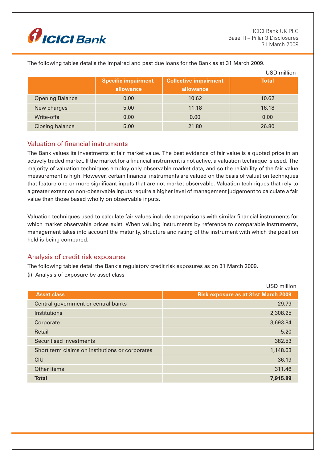

|                        |                                         |                                           | USD million  |
|------------------------|-----------------------------------------|-------------------------------------------|--------------|
|                        | <b>Specific impairment</b><br>allowance | <b>Collective impairment</b><br>allowance | <b>Total</b> |
| <b>Opening Balance</b> | 0.00                                    | 10.62                                     | 10.62        |
| New charges            | 5.00                                    | 11.18                                     | 16.18        |
| Write-offs             | 0.00                                    | 0.00                                      | 0.00         |
| <b>Closing balance</b> | 5.00                                    | 21.80                                     | 26.80        |

The following tables details the impaired and past due loans for the Bank as at 31 March 2009.

# Valuation of financial instruments

The Bank values its investments at fair market value. The best evidence of fair value is a quoted price in an actively traded market. If the market for a financial instrument is not active, a valuation technique is used. The majority of valuation techniques employ only observable market data, and so the reliability of the fair value measurement is high. However, certain financial instruments are valued on the basis of valuation techniques that feature one or more significant inputs that are not market observable. Valuation techniques that rely to a greater extent on non-observable inputs require a higher level of management judgement to calculate a fair value than those based wholly on observable inputs.

Valuation techniques used to calculate fair values include comparisons with similar financial instruments for which market observable prices exist. When valuing instruments by reference to comparable instruments, management takes into account the maturity, structure and rating of the instrument with which the position held is being compared.

# Analysis of credit risk exposures

The following tables detail the Bank's regulatory credit risk exposures as on 31 March 2009.

(i) Analysis of exposure by asset class

|                                                 | USD million                                |
|-------------------------------------------------|--------------------------------------------|
| <b>Asset class</b>                              | <b>Risk exposure as at 31st March 2009</b> |
| Central government or central banks             | 29.79                                      |
| <b>Institutions</b>                             | 2,308.25                                   |
| Corporate                                       | 3,693.84                                   |
| Retail                                          | 5.20                                       |
| Securitised investments                         | 382.53                                     |
| Short term claims on institutions or corporates | 1,148.63                                   |
| CIU                                             | 36.19                                      |
| Other items                                     | 311.46                                     |
| <b>Total</b>                                    | 7,915.89                                   |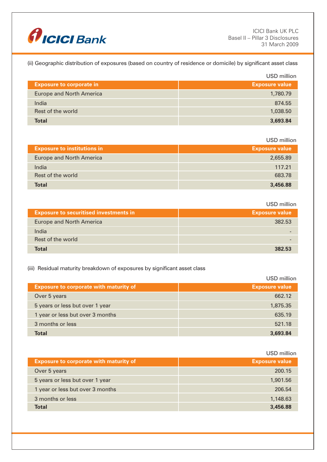

(ii) Geographic distribution of exposures (based on country of residence or domicile) by significant asset class

|                                 | USD million           |
|---------------------------------|-----------------------|
| <b>Exposure to corporate in</b> | <b>Exposure value</b> |
| <b>Europe and North America</b> | 1,780.79              |
| India                           | 874.55                |
| Rest of the world               | 1,038.50              |
| <b>Total</b>                    | 3,693.84              |

USD million

| <b>Exposure to institutions in</b> | <b>Exposure value</b> |
|------------------------------------|-----------------------|
| <b>Europe and North America</b>    | 2,655.89              |
| India                              | 117.21                |
| Rest of the world                  | 683.78                |
| <b>Total</b>                       | 3,456.88              |

USD million

| <b>Exposure to securitised investments in</b> | <b>Exposure value</b> |
|-----------------------------------------------|-----------------------|
| <b>Europe and North America</b>               | 382.53                |
| India                                         |                       |
| Rest of the world                             |                       |
| <b>Total</b>                                  | 382.53                |

#### (iii) Residual maturity breakdown of exposures by significant asset class

 USD million **Exposure to corporate with maturity of Exposure value** Over 5 years 662.12 5 years or less but over 1 year 1,875.35 1 year or less but over 3 months 635.19 **3** months or less 521.18  **Total 3,693.84**

|                                               | USD million           |
|-----------------------------------------------|-----------------------|
| <b>Exposure to corporate with maturity of</b> | <b>Exposure value</b> |
| Over 5 years                                  | 200.15                |
| 5 years or less but over 1 year               | 1,901.56              |
| 1 year or less but over 3 months              | 206.54                |
| 3 months or less                              | 1,148.63              |
| Total                                         | 3,456.88              |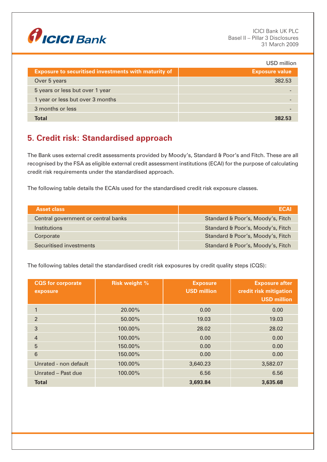

|                                                             | USD million           |
|-------------------------------------------------------------|-----------------------|
| <b>Exposure to securitised investments with maturity of</b> | <b>Exposure value</b> |
| Over 5 years                                                | 382.53                |
| 5 years or less but over 1 year                             |                       |
| 1 year or less but over 3 months                            |                       |
| 3 months or less                                            |                       |
| Total                                                       | つタン にっ                |

# **5. Credit risk: Standardised approach**

The Bank uses external credit assessments provided by Moody's, Standard & Poor's and Fitch. These are all recognised by the FSA as eligible external credit assessment institutions (ECAI) for the purpose of calculating credit risk requirements under the standardised approach.

The following table details the ECAIs used for the standardised credit risk exposure classes.

| <b>Asset class</b>                  | ECAL                              |
|-------------------------------------|-----------------------------------|
| Central government or central banks | Standard & Poor's, Moody's, Fitch |
| Institutions                        | Standard & Poor's, Moody's, Fitch |
| Corporate                           | Standard & Poor's, Moody's, Fitch |
| Securitised investments             | Standard & Poor's, Moody's, Fitch |

The following tables detail the standardised credit risk exposures by credit quality steps (CQS):

| <b>CQS</b> for corporate<br>exposure | <b>Risk weight %</b> | <b>Exposure</b><br><b>USD million</b> | <b>Exposure after</b><br>credit risk mitigation<br><b>USD million</b> |
|--------------------------------------|----------------------|---------------------------------------|-----------------------------------------------------------------------|
| $\mathbf{1}$                         | 20.00%               | 0.00                                  | 0.00                                                                  |
| $\overline{2}$                       | 50.00%               | 19.03                                 | 19.03                                                                 |
| 3                                    | 100.00%              | 28.02                                 | 28.02                                                                 |
| $\overline{4}$                       | 100.00%              | 0.00                                  | 0.00                                                                  |
| 5                                    | 150.00%              | 0.00                                  | 0.00                                                                  |
| $6\phantom{1}$                       | 150.00%              | 0.00                                  | 0.00                                                                  |
| Unrated - non default                | 100.00%              | 3,640.23                              | 3,582.07                                                              |
| Unrated - Past due                   | 100.00%              | 6.56                                  | 6.56                                                                  |
| <b>Total</b>                         |                      | 3,693.84                              | 3,635.68                                                              |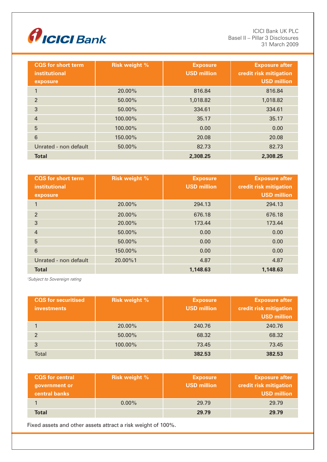

ICICI Bank UK PLC Basel II – Pillar 3 Disclosures 31 March 2009

| <b>CQS</b> for short term<br>institutional<br>exposure | <b>Risk weight %</b> | <b>Exposure</b><br><b>USD million</b> | <b>Exposure after</b><br>credit risk mitigation<br><b>USD million</b> |
|--------------------------------------------------------|----------------------|---------------------------------------|-----------------------------------------------------------------------|
| $\mathbf{1}$                                           | 20.00%               | 816.84                                | 816.84                                                                |
| $\overline{2}$                                         | 50.00%               | 1,018.82                              | 1,018.82                                                              |
| 3                                                      | $50.00\%$            | 334.61                                | 334.61                                                                |
| $\overline{4}$                                         | 100.00%              | 35.17                                 | 35.17                                                                 |
| 5                                                      | 100.00%              | 0.00                                  | 0.00                                                                  |
| 6                                                      | 150.00%              | 20.08                                 | 20.08                                                                 |
| Unrated - non default                                  | 50.00%               | 82.73                                 | 82.73                                                                 |
| <b>Total</b>                                           |                      | 2,308.25                              | 2,308.25                                                              |

| <b>CQS</b> for short term<br>institutional<br>exposure | <b>Risk weight %</b> | <b>Exposure</b><br><b>USD million</b> | <b>Exposure after</b><br>credit risk mitigation<br><b>USD million</b> |
|--------------------------------------------------------|----------------------|---------------------------------------|-----------------------------------------------------------------------|
| $\mathbf{1}$                                           | 20.00%               | 294.13                                | 294.13                                                                |
| $\overline{2}$                                         | 20.00%               | 676.18                                | 676.18                                                                |
| 3                                                      | 20.00%               | 173.44                                | 173.44                                                                |
| $\overline{4}$                                         | 50.00%               | 0.00                                  | 0.00                                                                  |
| 5                                                      | $50.00\%$            | 0.00                                  | 0.00                                                                  |
| 6                                                      | 150.00%              | 0.00                                  | 0.00                                                                  |
| Unrated - non default                                  | 20.00%1              | 4.87                                  | 4.87                                                                  |
| <b>Total</b>                                           |                      | 1,148.63                              | 1,148.63                                                              |

*1 Subject to Sovereign rating*

| <b>CQS</b> for securitised<br><b>investments</b> | <b>Risk weight %</b> | <b>Exposure</b><br><b>USD million</b> | <b>Exposure after</b><br>credit risk mitigation<br><b>USD million</b> |
|--------------------------------------------------|----------------------|---------------------------------------|-----------------------------------------------------------------------|
|                                                  | 20.00%               | 240.76                                | 240.76                                                                |
| $\mathcal{D}$                                    | 50.00%               | 68.32                                 | 68.32                                                                 |
| 3                                                | 100.00%              | 73.45                                 | 73.45                                                                 |
| <b>Total</b>                                     |                      | 382.53                                | 382.53                                                                |

| <b>CQS</b> for central<br>government or<br><b>central banks</b> | <b>Risk weight %</b> | <b>Exposure</b><br><b>USD million</b> | <b>Exposure after</b><br>credit risk mitigation<br><b>USD million</b> |
|-----------------------------------------------------------------|----------------------|---------------------------------------|-----------------------------------------------------------------------|
|                                                                 | $0.00\%$             | 29.79                                 | 29.79                                                                 |
| <b>Total</b>                                                    |                      | 29.79                                 | 29.79                                                                 |

Fixed assets and other assets attract a risk weight of 100%.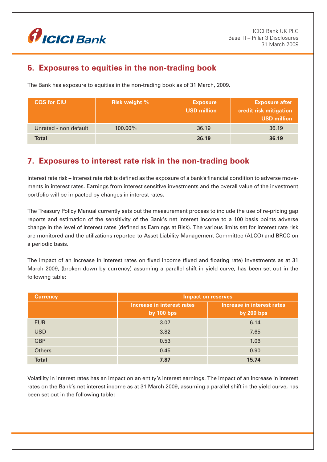

# **6. Exposures to equities in the non-trading book**

The Bank has exposure to equities in the non-trading book as of 31 March, 2009.

| <b>CQS for CIU</b>    | <b>Risk weight %</b> | <b>Exposure</b><br><b>USD million</b> | <b>Exposure after</b><br>credit risk mitigation<br><b>USD million</b> |
|-----------------------|----------------------|---------------------------------------|-----------------------------------------------------------------------|
| Unrated - non default | $100.00\%$           | 36.19                                 | 36.19                                                                 |
| Total                 |                      | 36.19                                 | 36.19                                                                 |

# **7. Exposures to interest rate risk in the non-trading book**

Interest rate risk – Interest rate risk is defined as the exposure of a bank's financial condition to adverse movements in interest rates. Earnings from interest sensitive investments and the overall value of the investment portfolio will be impacted by changes in interest rates.

The Treasury Policy Manual currently sets out the measurement process to include the use of re-pricing gap reports and estimation of the sensitivity of the Bank's net interest income to a 100 basis points adverse change in the level of interest rates (defined as Earnings at Risk). The various limits set for interest rate risk are monitored and the utilizations reported to Asset Liability Management Committee (ALCO) and BRCC on a periodic basis.

The impact of an increase in interest rates on fixed income (fixed and floating rate) investments as at 31 March 2009, (broken down by currency) assuming a parallel shift in yield curve, has been set out in the following table:

| <b>Currency</b> | <b>Impact on reserves</b>                       |                                                 |  |
|-----------------|-------------------------------------------------|-------------------------------------------------|--|
|                 | Increase in interest rates<br><b>by 100 bps</b> | Increase in interest rates<br><b>by 200 bps</b> |  |
| <b>EUR</b>      | 3.07                                            | 6.14                                            |  |
| <b>USD</b>      | 3.82                                            | 7.65                                            |  |
| <b>GBP</b>      | 0.53                                            | 1.06                                            |  |
| <b>Others</b>   | 0.45                                            | 0.90                                            |  |
| <b>Total</b>    | 7.87                                            | 15.74                                           |  |

Volatility in interest rates has an impact on an entity's interest earnings. The impact of an increase in interest rates on the Bank's net interest income as at 31 March 2009, assuming a parallel shift in the yield curve, has been set out in the following table: